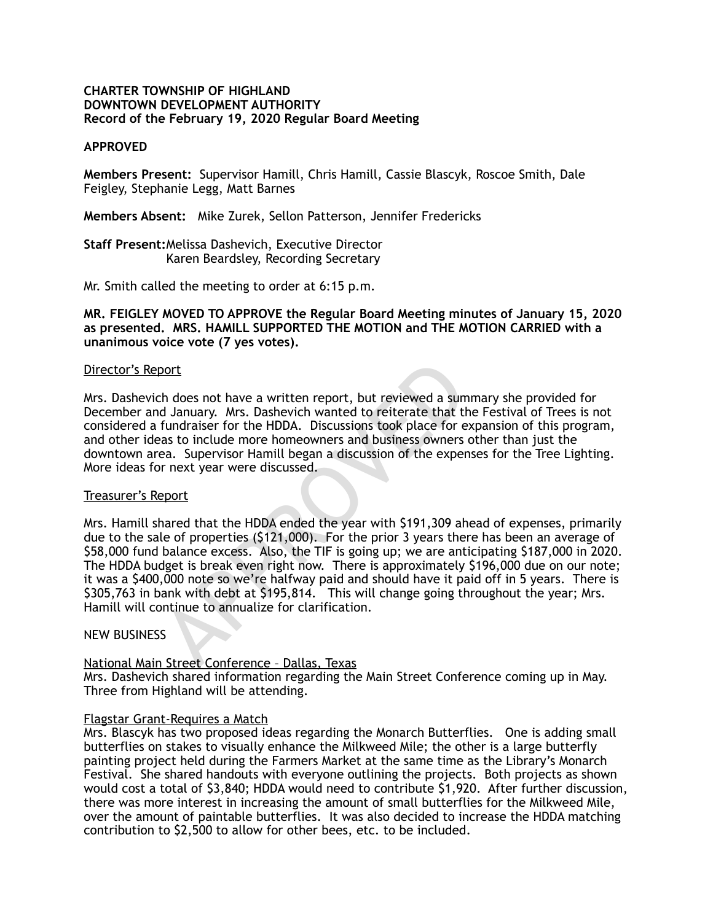## **CHARTER TOWNSHIP OF HIGHLAND DOWNTOWN DEVELOPMENT AUTHORITY Record of the February 19, 2020 Regular Board Meeting**

# **APPROVED**

**Members Present:** Supervisor Hamill, Chris Hamill, Cassie Blascyk, Roscoe Smith, Dale Feigley, Stephanie Legg, Matt Barnes

**Members Absent:** Mike Zurek, Sellon Patterson, Jennifer Fredericks

**Staff Present:** Melissa Dashevich, Executive Director Karen Beardsley, Recording Secretary

Mr. Smith called the meeting to order at 6:15 p.m.

**MR. FEIGLEY MOVED TO APPROVE the Regular Board Meeting minutes of January 15, 2020 as presented. MRS. HAMILL SUPPORTED THE MOTION and THE MOTION CARRIED with a unanimous voice vote (7 yes votes).** 

### Director's Report

Mrs. Dashevich does not have a written report, but reviewed a summary she provided for December and January. Mrs. Dashevich wanted to reiterate that the Festival of Trees is not considered a fundraiser for the HDDA. Discussions took place for expansion of this program, and other ideas to include more homeowners and business owners other than just the downtown area. Supervisor Hamill began a discussion of the expenses for the Tree Lighting. More ideas for next year were discussed.

# Treasurer's Report

Report<br>
evich does not have a written report, but reviewed a sum<br>
and January. Mrs. Dashevich wanted to reiterate that the<br>
d a fundraiser for the HDDA. Discussions took place for e<br>
ideas to include more homeowners and bu Mrs. Hamill shared that the HDDA ended the year with \$191,309 ahead of expenses, primarily due to the sale of properties (\$121,000). For the prior 3 years there has been an average of \$58,000 fund balance excess. Also, the TIF is going up; we are anticipating \$187,000 in 2020. The HDDA budget is break even right now. There is approximately \$196,000 due on our note; it was a \$400,000 note so we're halfway paid and should have it paid off in 5 years. There is \$305,763 in bank with debt at \$195,814. This will change going throughout the year; Mrs. Hamill will continue to annualize for clarification.

# NEW BUSINESS

# National Main Street Conference – Dallas, Texas

Mrs. Dashevich shared information regarding the Main Street Conference coming up in May. Three from Highland will be attending.

### Flagstar Grant-Requires a Match

Mrs. Blascyk has two proposed ideas regarding the Monarch Butterflies. One is adding small butterflies on stakes to visually enhance the Milkweed Mile; the other is a large butterfly painting project held during the Farmers Market at the same time as the Library's Monarch Festival. She shared handouts with everyone outlining the projects. Both projects as shown would cost a total of \$3,840; HDDA would need to contribute \$1,920. After further discussion, there was more interest in increasing the amount of small butterflies for the Milkweed Mile, over the amount of paintable butterflies. It was also decided to increase the HDDA matching contribution to \$2,500 to allow for other bees, etc. to be included.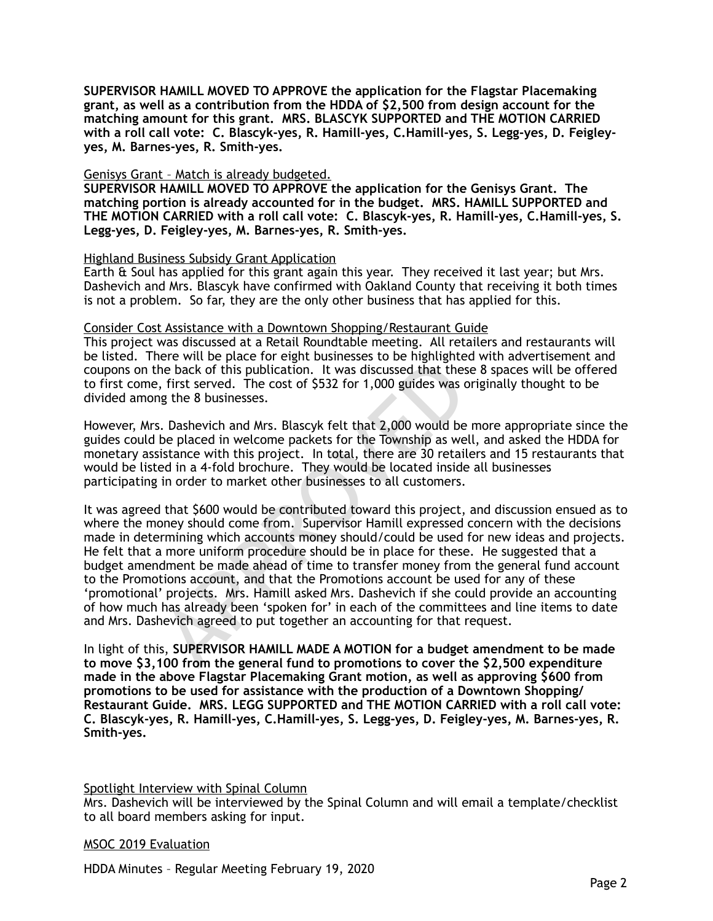**SUPERVISOR HAMILL MOVED TO APPROVE the application for the Flagstar Placemaking grant, as well as a contribution from the HDDA of \$2,500 from design account for the matching amount for this grant. MRS. BLASCYK SUPPORTED and THE MOTION CARRIED with a roll call vote: C. Blascyk-yes, R. Hamill-yes, C.Hamill-yes, S. Legg-yes, D. Feigleyyes, M. Barnes-yes, R. Smith-yes.** 

# Genisys Grant – Match is already budgeted.

**SUPERVISOR HAMILL MOVED TO APPROVE the application for the Genisys Grant. The matching portion is already accounted for in the budget. MRS. HAMILL SUPPORTED and THE MOTION CARRIED with a roll call vote: C. Blascyk-yes, R. Hamill-yes, C.Hamill-yes, S. Legg-yes, D. Feigley-yes, M. Barnes-yes, R. Smith-yes.** 

# Highland Business Subsidy Grant Application

Earth & Soul has applied for this grant again this year. They received it last year; but Mrs. Dashevich and Mrs. Blascyk have confirmed with Oakland County that receiving it both times is not a problem. So far, they are the only other business that has applied for this.

# Consider Cost Assistance with a Downtown Shopping/Restaurant Guide

This project was discussed at a Retail Roundtable meeting. All retailers and restaurants will be listed. There will be place for eight businesses to be highlighted with advertisement and coupons on the back of this publication. It was discussed that these 8 spaces will be offered to first come, first served. The cost of \$532 for 1,000 guides was originally thought to be divided among the 8 businesses.

However, Mrs. Dashevich and Mrs. Blascyk felt that 2,000 would be more appropriate since the guides could be placed in welcome packets for the Township as well, and asked the HDDA for monetary assistance with this project. In total, there are 30 retailers and 15 restaurants that would be listed in a 4-fold brochure. They would be located inside all businesses participating in order to market other businesses to all customers.

Fraction the back of this publication. It was discussed that these me, first served. The cost of \$532 for 1,000 guides was coming the 8 businesses.<br>Mrs. Dashevich and Mrs. Blascyk felt that 2,000 would be placed in welcome It was agreed that \$600 would be contributed toward this project, and discussion ensued as to where the money should come from. Supervisor Hamill expressed concern with the decisions made in determining which accounts money should/could be used for new ideas and projects. He felt that a more uniform procedure should be in place for these. He suggested that a budget amendment be made ahead of time to transfer money from the general fund account to the Promotions account, and that the Promotions account be used for any of these 'promotional' projects. Mrs. Hamill asked Mrs. Dashevich if she could provide an accounting of how much has already been 'spoken for' in each of the committees and line items to date and Mrs. Dashevich agreed to put together an accounting for that request.

In light of this, **SUPERVISOR HAMILL MADE A MOTION for a budget amendment to be made to move \$3,100 from the general fund to promotions to cover the \$2,500 expenditure made in the above Flagstar Placemaking Grant motion, as well as approving \$600 from promotions to be used for assistance with the production of a Downtown Shopping/ Restaurant Guide. MRS. LEGG SUPPORTED and THE MOTION CARRIED with a roll call vote: C. Blascyk-yes, R. Hamill-yes, C.Hamill-yes, S. Legg-yes, D. Feigley-yes, M. Barnes-yes, R. Smith-yes.** 

Spotlight Interview with Spinal Column

Mrs. Dashevich will be interviewed by the Spinal Column and will email a template/checklist to all board members asking for input.

# MSOC 2019 Evaluation

HDDA Minutes – Regular Meeting February 19, 2020